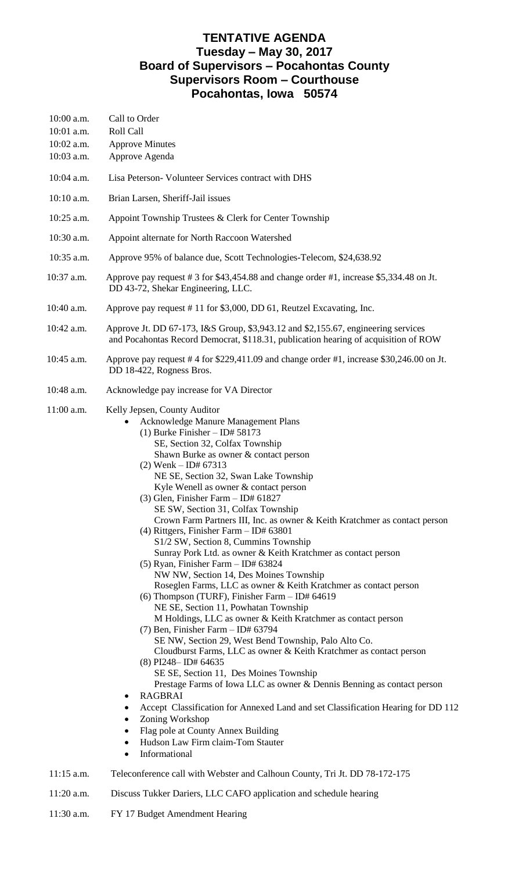## **TENTATIVE AGENDA Tuesday – May 30, 2017 Board of Supervisors – Pocahontas County Supervisors Room – Courthouse Pocahontas, Iowa 50574**

| 10:00 a.m.<br>10:01 a.m.<br>10:02 a.m.<br>10:03 a.m. | Call to Order<br>Roll Call<br><b>Approve Minutes</b><br>Approve Agenda                                                                                                                                                                                                                                                                                                                                                                                                                                                                                                                                                                                                                                                                                                                                                                                                                                                                                                                                                                                                                                                                                                                                                                                                                                                                                                                                                                                                                   |
|------------------------------------------------------|------------------------------------------------------------------------------------------------------------------------------------------------------------------------------------------------------------------------------------------------------------------------------------------------------------------------------------------------------------------------------------------------------------------------------------------------------------------------------------------------------------------------------------------------------------------------------------------------------------------------------------------------------------------------------------------------------------------------------------------------------------------------------------------------------------------------------------------------------------------------------------------------------------------------------------------------------------------------------------------------------------------------------------------------------------------------------------------------------------------------------------------------------------------------------------------------------------------------------------------------------------------------------------------------------------------------------------------------------------------------------------------------------------------------------------------------------------------------------------------|
| 10:04 a.m.                                           | Lisa Peterson- Volunteer Services contract with DHS                                                                                                                                                                                                                                                                                                                                                                                                                                                                                                                                                                                                                                                                                                                                                                                                                                                                                                                                                                                                                                                                                                                                                                                                                                                                                                                                                                                                                                      |
| 10:10 a.m.                                           | Brian Larsen, Sheriff-Jail issues                                                                                                                                                                                                                                                                                                                                                                                                                                                                                                                                                                                                                                                                                                                                                                                                                                                                                                                                                                                                                                                                                                                                                                                                                                                                                                                                                                                                                                                        |
| 10:25 a.m.                                           | Appoint Township Trustees & Clerk for Center Township                                                                                                                                                                                                                                                                                                                                                                                                                                                                                                                                                                                                                                                                                                                                                                                                                                                                                                                                                                                                                                                                                                                                                                                                                                                                                                                                                                                                                                    |
| 10:30 a.m.                                           | Appoint alternate for North Raccoon Watershed                                                                                                                                                                                                                                                                                                                                                                                                                                                                                                                                                                                                                                                                                                                                                                                                                                                                                                                                                                                                                                                                                                                                                                                                                                                                                                                                                                                                                                            |
| 10:35 a.m.                                           | Approve 95% of balance due, Scott Technologies-Telecom, \$24,638.92                                                                                                                                                                                                                                                                                                                                                                                                                                                                                                                                                                                                                                                                                                                                                                                                                                                                                                                                                                                                                                                                                                                                                                                                                                                                                                                                                                                                                      |
| 10:37 a.m.                                           | Approve pay request # 3 for \$43,454.88 and change order #1, increase \$5,334.48 on Jt.<br>DD 43-72, Shekar Engineering, LLC.                                                                                                                                                                                                                                                                                                                                                                                                                                                                                                                                                                                                                                                                                                                                                                                                                                                                                                                                                                                                                                                                                                                                                                                                                                                                                                                                                            |
| 10:40 a.m.                                           | Approve pay request #11 for \$3,000, DD 61, Reutzel Excavating, Inc.                                                                                                                                                                                                                                                                                                                                                                                                                                                                                                                                                                                                                                                                                                                                                                                                                                                                                                                                                                                                                                                                                                                                                                                                                                                                                                                                                                                                                     |
| 10:42 a.m.                                           | Approve Jt. DD 67-173, I&S Group, \$3,943.12 and \$2,155.67, engineering services<br>and Pocahontas Record Democrat, \$118.31, publication hearing of acquisition of ROW                                                                                                                                                                                                                                                                                                                                                                                                                                                                                                                                                                                                                                                                                                                                                                                                                                                                                                                                                                                                                                                                                                                                                                                                                                                                                                                 |
| 10:45 a.m.                                           | Approve pay request #4 for $$229,411.09$ and change order #1, increase $$30,246.00$ on Jt.<br>DD 18-422, Rogness Bros.                                                                                                                                                                                                                                                                                                                                                                                                                                                                                                                                                                                                                                                                                                                                                                                                                                                                                                                                                                                                                                                                                                                                                                                                                                                                                                                                                                   |
| 10:48 a.m.                                           | Acknowledge pay increase for VA Director                                                                                                                                                                                                                                                                                                                                                                                                                                                                                                                                                                                                                                                                                                                                                                                                                                                                                                                                                                                                                                                                                                                                                                                                                                                                                                                                                                                                                                                 |
| 11:00 a.m.                                           | Kelly Jepsen, County Auditor<br>Acknowledge Manure Management Plans<br>(1) Burke Finisher $-$ ID# 58173<br>SE, Section 32, Colfax Township<br>Shawn Burke as owner & contact person<br>$(2)$ Wenk – ID# 67313<br>NE SE, Section 32, Swan Lake Township<br>Kyle Wenell as owner & contact person<br>$(3)$ Glen, Finisher Farm - ID# 61827<br>SE SW, Section 31, Colfax Township<br>Crown Farm Partners III, Inc. as owner & Keith Kratchmer as contact person<br>(4) Rittgers, Finisher Farm - ID# 63801<br>S1/2 SW, Section 8, Cummins Township<br>Sunray Pork Ltd. as owner & Keith Kratchmer as contact person<br>$(5)$ Ryan, Finisher Farm - ID# 63824<br>NW NW, Section 14, Des Moines Township<br>Roseglen Farms, LLC as owner & Keith Kratchmer as contact person<br>(6) Thompson (TURF), Finisher Farm $-$ ID# 64619<br>NE SE, Section 11, Powhatan Township<br>M Holdings, LLC as owner & Keith Kratchmer as contact person<br>(7) Ben, Finisher Farm - ID# 63794<br>SE NW, Section 29, West Bend Township, Palo Alto Co.<br>Cloudburst Farms, LLC as owner & Keith Kratchmer as contact person<br>$(8)$ PI248-ID# 64635<br>SE SE, Section 11, Des Moines Township<br>Prestage Farms of Iowa LLC as owner & Dennis Benning as contact person<br><b>RAGBRAI</b><br>Accept Classification for Annexed Land and set Classification Hearing for DD 112<br>Zoning Workshop<br>Flag pole at County Annex Building<br>٠<br>Hudson Law Firm claim-Tom Stauter<br>٠<br>Informational<br>٠ |
| $11:15$ a.m.                                         | Teleconference call with Webster and Calhoun County, Tri Jt. DD 78-172-175                                                                                                                                                                                                                                                                                                                                                                                                                                                                                                                                                                                                                                                                                                                                                                                                                                                                                                                                                                                                                                                                                                                                                                                                                                                                                                                                                                                                               |
|                                                      |                                                                                                                                                                                                                                                                                                                                                                                                                                                                                                                                                                                                                                                                                                                                                                                                                                                                                                                                                                                                                                                                                                                                                                                                                                                                                                                                                                                                                                                                                          |

- 11:20 a.m. Discuss Tukker Dariers, LLC CAFO application and schedule hearing
- 11:30 a.m. FY 17 Budget Amendment Hearing